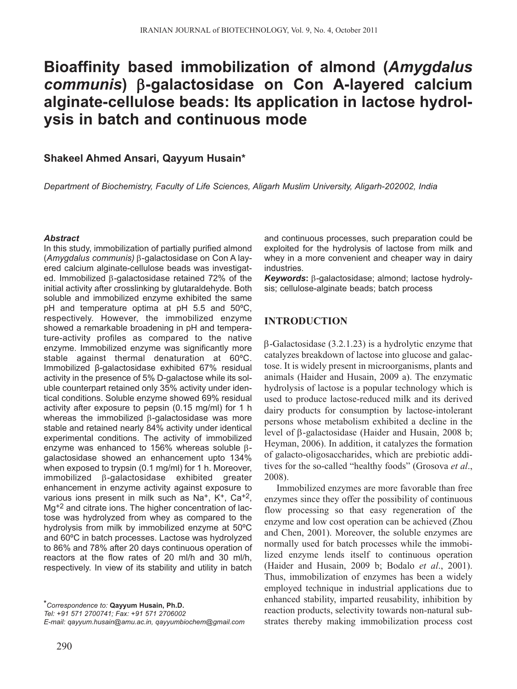# **Bioaffinity based immobilization of almond (***Amygdalus communis***)** β**-galactosidase on Con A-layered calcium alginate-cellulose beads: Its application in lactose hydrolysis in batch and continuous mode**

## **Shakeel Ahmed Ansari, Qayyum Husain\***

*Department of Biochemistry, Faculty of Life Sciences, Aligarh Muslim University, Aligarh-202002, India*

#### *Abstract*

In this study, immobilization of partially purified almond (*Amygdalus communis)* β-galactosidase on Con A layered calcium alginate-cellulose beads was investigated. Immobilized β-galactosidase retained 72% of the initial activity after crosslinking by glutaraldehyde. Both soluble and immobilized enzyme exhibited the same pH and temperature optima at pH 5.5 and 50ºC, respectively. However, the immobilized enzyme showed a remarkable broadening in pH and temperature-activity profiles as compared to the native enzyme. Immobilized enzyme was significantly more stable against thermal denaturation at 60ºC. Immobilized β-galactosidase exhibited 67% residual activity in the presence of 5% D-galactose while its soluble counterpart retained only 35% activity under identical conditions. Soluble enzyme showed 69% residual activity after exposure to pepsin (0.15 mg/ml) for 1 h whereas the immobilized β-galactosidase was more stable and retained nearly 84% activity under identical experimental conditions. The activity of immobilized enzyme was enhanced to 156% whereas soluble βgalactosidase showed an enhancement upto 134% when exposed to trypsin (0.1 mg/ml) for 1 h. Moreover, immobilized β-galactosidase exhibited greater enhancement in enzyme activity against exposure to various ions present in milk such as Na<sup>+</sup>, K<sup>+</sup>, Ca<sup>+2</sup>, Mg<sup>+2</sup> and citrate ions. The higher concentration of lactose was hydrolyzed from whey as compared to the hydrolysis from milk by immobilized enzyme at 50ºC and 60ºC in batch processes. Lactose was hydrolyzed to 86% and 78% after 20 days continuous operation of reactors at the flow rates of 20 ml/h and 30 ml/h, respectively. In view of its stability and utility in batch

*\*Correspondence to:* **Qayyum Husain, Ph.D.**

*Tel: +91 571 2700741; Fax: +91 571 2706002* 

*E-mail: qayyum.husain@amu.ac.in, qayyumbiochem@gmail.com*

and continuous processes, such preparation could be exploited for the hydrolysis of lactose from milk and whey in a more convenient and cheaper way in dairy industries.

*Keywords***:** β-galactosidase; almond; lactose hydrolysis; cellulose-alginate beads; batch process

# **INTRODUCTION**

β-Galactosidase (3.2.1.23) is a hydrolytic enzyme that catalyzes breakdown of lactose into glucose and galactose. It is widely present in microorganisms, plants and animals (Haider and Husain, 2009 a). The enzymatic hydrolysis of lactose is a popular technology which is used to produce lactose-reduced milk and its derived dairy products for consumption by lactose-intolerant persons whose metabolism exhibited a decline in the level of β-galactosidase (Haider and Husain, 2008 b; Heyman, 2006). In addition, it catalyzes the formation of galacto-oligosaccharides, which are prebiotic additives for the so-called "healthy foods" (Grosova *et al*., 2008).

Immobilized enzymes are more favorable than free enzymes since they offer the possibility of continuous flow processing so that easy regeneration of the enzyme and low cost operation can be achieved (Zhou and Chen, 2001). Moreover, the soluble enzymes are normally used for batch processes while the immobilized enzyme lends itself to continuous operation (Haider and Husain, 2009 b; Bodalo *et al*., 2001). Thus, immobilization of enzymes has been a widely employed technique in industrial applications due to enhanced stability, imparted reusability, inhibition by reaction products, selectivity towards non-natural substrates thereby making immobilization process cost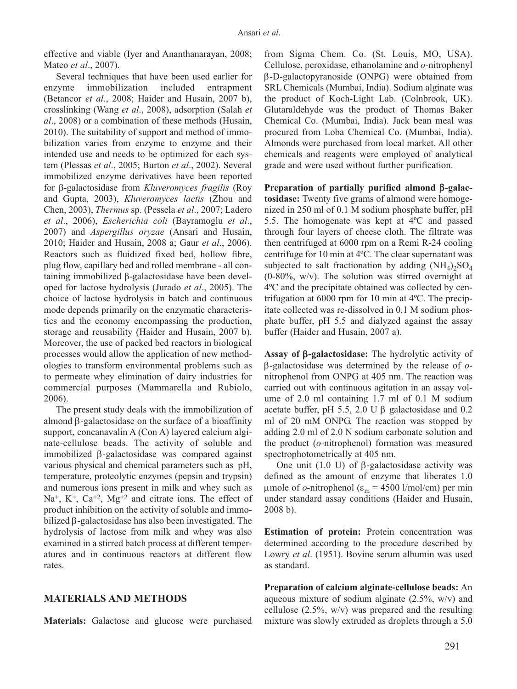effective and viable (Iyer and Ananthanarayan, 2008; Mateo *et al*., 2007).

Several techniques that have been used earlier for enzyme immobilization included entrapment (Betancor *et al*., 2008; Haider and Husain, 2007 b), crosslinking (Wang *et al*., 2008), adsorption (Salah *et al*., 2008) or a combination of these methods (Husain, 2010). The suitability of support and method of immobilization varies from enzyme to enzyme and their intended use and needs to be optimized for each system (Plessas *et al*., 2005; Burton *et al*., 2002). Several immobilized enzyme derivatives have been reported for β-galactosidase from *Kluveromyces fragilis* (Roy and Gupta, 2003), *Kluveromyces lactis* (Zhou and Chen, 2003), *Thermus* sp. (Pessela *et al*., 2007; Ladero *et al*., 2006), *Escherichia coli* (Bayramoglu *et al*., 2007) and *Aspergillus oryzae* (Ansari and Husain, 2010; Haider and Husain, 2008 a; Gaur *et al*., 2006). Reactors such as fluidized fixed bed, hollow fibre, plug flow, capillary bed and rolled membrane - all containing immobilized β-galactosidase have been developed for lactose hydrolysis (Jurado *et al*., 2005). The choice of lactose hydrolysis in batch and continuous mode depends primarily on the enzymatic characteristics and the economy encompassing the production, storage and reusability (Haider and Husain, 2007 b). Moreover, the use of packed bed reactors in biological processes would allow the application of new methodologies to transform environmental problems such as to permeate whey elimination of dairy industries for commercial purposes (Mammarella and Rubiolo, 2006).

The present study deals with the immobilization of almond β-galactosidase on the surface of a bioaffinity support, concanavalin A (Con A) layered calcium alginate-cellulose beads. The activity of soluble and immobilized β-galactosidase was compared against various physical and chemical parameters such as pH, temperature, proteolytic enzymes (pepsin and trypsin) and numerous ions present in milk and whey such as Na<sup>+</sup>, K<sup>+</sup>, Ca<sup>+2</sup>, Mg<sup>+2</sup> and citrate ions. The effect of product inhibition on the activity of soluble and immobilized β-galactosidase has also been investigated. The hydrolysis of lactose from milk and whey was also examined in a stirred batch process at different temperatures and in continuous reactors at different flow rates.

## **MATERIALS AND METHODS**

**Materials:** Galactose and glucose were purchased

from Sigma Chem. Co. (St. Louis, MO, USA). Cellulose, peroxidase, ethanolamine and *o*-nitrophenyl β-D-galactopyranoside (ONPG) were obtained from SRL Chemicals (Mumbai, India). Sodium alginate was the product of Koch-Light Lab. (Colnbrook, UK). Glutaraldehyde was the product of Thomas Baker Chemical Co. (Mumbai, India). Jack bean meal was procured from Loba Chemical Co. (Mumbai, India). Almonds were purchased from local market. All other chemicals and reagents were employed of analytical grade and were used without further purification.

**Preparation of partially purified almond** β**-galactosidase:** Twenty five grams of almond were homogenized in 250 ml of 0.1 M sodium phosphate buffer, pH 5.5. The homogenate was kept at 4ºC and passed through four layers of cheese cloth. The filtrate was then centrifuged at 6000 rpm on a Remi R-24 cooling centrifuge for 10 min at 4ºC. The clear supernatant was subjected to salt fractionation by adding  $(NH_4)_2SO_4$ (0-80%, w/v). The solution was stirred overnight at 4ºC and the precipitate obtained was collected by centrifugation at 6000 rpm for 10 min at 4ºC. The precipitate collected was re-dissolved in 0.1 M sodium phosphate buffer, pH 5.5 and dialyzed against the assay buffer (Haider and Husain, 2007 a).

**Assay of** β**-galactosidase:** The hydrolytic activity of β-galactosidase was determined by the release of *o*nitrophenol from ONPG at 405 nm. The reaction was carried out with continuous agitation in an assay volume of 2.0 ml containing 1.7 ml of 0.1 M sodium acetate buffer, pH 5.5, 2.0 U β galactosidase and 0.2 ml of 20 mM ONPG. The reaction was stopped by adding 2.0 ml of 2.0 N sodium carbonate solution and the product (*o-*nitrophenol) formation was measured spectrophotometrically at 405 nm.

One unit  $(1.0 \text{ U})$  of β-galactosidase activity was defined as the amount of enzyme that liberates 1.0 μmole of *o*-nitrophenol (ε<sub>m</sub> = 4500 l/mol/cm) per min under standard assay conditions (Haider and Husain, 2008 b).

**Estimation of protein:** Protein concentration was determined according to the procedure described by Lowry *et al*. (1951). Bovine serum albumin was used as standard.

**Preparation of calcium alginate-cellulose beads:** An aqueous mixture of sodium alginate  $(2.5\%$ , w/v) and cellulose (2.5%, w/v) was prepared and the resulting mixture was slowly extruded as droplets through a 5.0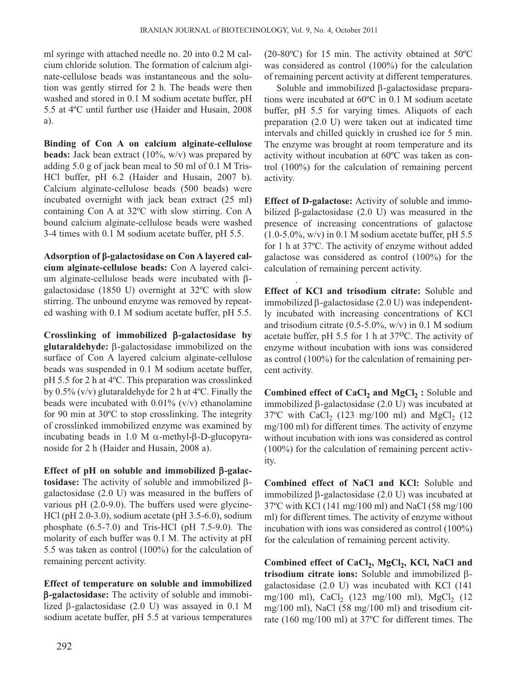ml syringe with attached needle no. 20 into 0.2 M calcium chloride solution. The formation of calcium alginate-cellulose beads was instantaneous and the solution was gently stirred for 2 h. The beads were then washed and stored in 0.1 M sodium acetate buffer, pH 5.5 at 4ºC until further use (Haider and Husain, 2008 a).

**Binding of Con A on calcium alginate-cellulose beads:** Jack bean extract (10%, w/v) was prepared by adding 5.0 g of jack bean meal to 50 ml of 0.1 M Tris-HCl buffer, pH 6.2 (Haider and Husain, 2007 b). Calcium alginate-cellulose beads (500 beads) were incubated overnight with jack bean extract (25 ml) containing Con A at 32ºC with slow stirring. Con A bound calcium alginate-cellulose beads were washed 3-4 times with 0.1 M sodium acetate buffer, pH 5.5.

**Adsorption of β-galactosidase on Con A layered calcium alginate-cellulose beads:** Con A layered calcium alginate-cellulose beads were incubated with βgalactosidase (1850 U) overnight at 32ºC with slow stirring. The unbound enzyme was removed by repeated washing with 0.1 M sodium acetate buffer, pH 5.5.

**Crosslinking of immobilized** β**-galactosidase by glutaraldehyde:** β-galactosidase immobilized on the surface of Con A layered calcium alginate-cellulose beads was suspended in 0.1 M sodium acetate buffer, pH 5.5 for 2 h at 4ºC. This preparation was crosslinked by  $0.5\%$  (v/v) glutaraldehyde for 2 h at  $4^{\circ}$ C. Finally the beads were incubated with  $0.01\%$  (v/v) ethanolamine for 90 min at 30ºC to stop crosslinking. The integrity of crosslinked immobilized enzyme was examined by incubating beads in 1.0 M α-methyl-β-D-glucopyranoside for 2 h (Haider and Husain, 2008 a).

**Effect of pH on soluble and immobilized** β**-galactosidase:** The activity of soluble and immobilized βgalactosidase (2.0 U) was measured in the buffers of various pH (2.0-9.0). The buffers used were glycine-HCl (pH 2.0-3.0), sodium acetate (pH 3.5-6.0), sodium phosphate (6.5-7.0) and Tris-HCl (pH 7.5-9.0). The molarity of each buffer was 0.1 M. The activity at pH 5.5 was taken as control (100%) for the calculation of remaining percent activity.

**Effect of temperature on soluble and immobilized** β**-galactosidase:** The activity of soluble and immobilized β-galactosidase (2.0 U) was assayed in 0.1 M sodium acetate buffer, pH 5.5 at various temperatures (20-80ºC) for 15 min. The activity obtained at 50ºC was considered as control (100%) for the calculation of remaining percent activity at different temperatures.

Soluble and immobilized β-galactosidase preparations were incubated at 60ºC in 0.1 M sodium acetate buffer, pH 5.5 for varying times. Aliquots of each preparation (2.0 U) were taken out at indicated time intervals and chilled quickly in crushed ice for 5 min. The enzyme was brought at room temperature and its activity without incubation at 60ºC was taken as control (100%) for the calculation of remaining percent activity.

**Effect of D-galactose:** Activity of soluble and immobilized β-galactosidase (2.0 U) was measured in the presence of increasing concentrations of galactose  $(1.0-5.0\%, w/v)$  in 0.1 M sodium acetate buffer, pH 5.5 for 1 h at 37ºC. The activity of enzyme without added galactose was considered as control (100%) for the calculation of remaining percent activity.

. **Effect of KCl and trisodium citrate:** Soluble and immobilized β-galactosidase (2.0 U) was independently incubated with increasing concentrations of KCl and trisodium citrate  $(0.5\n-5.0\%, w/v)$  in 0.1 M sodium acetate buffer, pH 5.5 for 1 h at  $37^{\circ}$ C. The activity of enzyme without incubation with ions was considered as control (100%) for the calculation of remaining percent activity.

**Combined effect of CaCl<sub>2</sub> and MgCl<sub>2</sub> :** Soluble and immobilized β-galactosidase (2.0 U) was incubated at  $37^{\circ}$ C with CaCl<sub>2</sub> (123 mg/100 ml) and MgCl<sub>2</sub> (12 mg/100 ml) for different times. The activity of enzyme without incubation with ions was considered as control (100%) for the calculation of remaining percent activity.

**Combined effect of NaCl and KCl:** Soluble and immobilized β-galactosidase (2.0 U) was incubated at 37ºC with KCl (141 mg/100 ml) and NaCl (58 mg/100 ml) for different times. The activity of enzyme without incubation with ions was considered as control (100%) for the calculation of remaining percent activity.

Combined effect of CaCl<sub>2</sub>, MgCl<sub>2</sub>, KCl, NaCl and **trisodium citrate ions:** Soluble and immobilized βgalactosidase (2.0 U) was incubated with KCl (141 mg/100 ml), CaCl<sub>2</sub> (123 mg/100 ml), MgCl<sub>2</sub> (12 mg/100 ml), NaCl (58 mg/100 ml) and trisodium citrate (160 mg/100 ml) at 37ºC for different times. The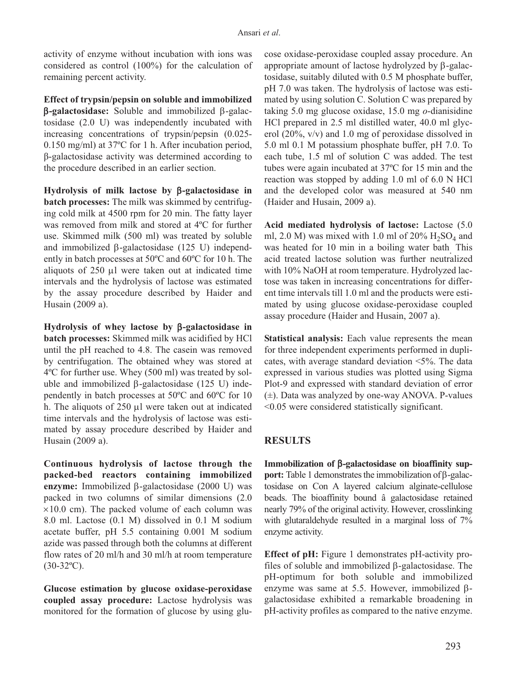activity of enzyme without incubation with ions was considered as control (100%) for the calculation of remaining percent activity.

**Effect of trypsin/pepsin on soluble and immobilized** β**-galactosidase:** Soluble and immobilized β-galactosidase (2.0 U) was independently incubated with increasing concentrations of trypsin/pepsin (0.025- 0.150 mg/ml) at 37ºC for 1 h. After incubation period, β-galactosidase activity was determined according to the procedure described in an earlier section.

**Hydrolysis of milk lactose by** β**-galactosidase in batch processes:** The milk was skimmed by centrifuging cold milk at 4500 rpm for 20 min. The fatty layer was removed from milk and stored at 4ºC for further use. Skimmed milk (500 ml) was treated by soluble and immobilized β-galactosidase (125 U) independently in batch processes at 50ºC and 60ºC for 10 h. The aliquots of 250 μl were taken out at indicated time intervals and the hydrolysis of lactose was estimated by the assay procedure described by Haider and Husain (2009 a).

**Hydrolysis of whey lactose by** β**-galactosidase in batch processes:** Skimmed milk was acidified by HCl until the pH reached to 4.8. The casein was removed by centrifugation. The obtained whey was stored at 4ºC for further use. Whey (500 ml) was treated by soluble and immobilized β-galactosidase  $(125 \text{ U})$  independently in batch processes at 50ºC and 60ºC for 10 h. The aliquots of 250 μl were taken out at indicated time intervals and the hydrolysis of lactose was estimated by assay procedure described by Haider and Husain (2009 a).

**Continuous hydrolysis of lactose through the packed-bed reactors containing immobilized enzyme:** Immobilized β-galactosidase (2000 U) was packed in two columns of similar dimensions (2.0  $\times$ 10.0 cm). The packed volume of each column was 8.0 ml. Lactose (0.1 M) dissolved in 0.1 M sodium acetate buffer, pH 5.5 containing 0.001 M sodium azide was passed through both the columns at different flow rates of 20 ml/h and 30 ml/h at room temperature  $(30-32$ <sup>o</sup>C).

**Glucose estimation by glucose oxidase-peroxidase coupled assay procedure:** Lactose hydrolysis was monitored for the formation of glucose by using glucose oxidase-peroxidase coupled assay procedure. An appropriate amount of lactose hydrolyzed by β-galactosidase, suitably diluted with 0.5 M phosphate buffer, pH 7.0 was taken. The hydrolysis of lactose was estimated by using solution C. Solution C was prepared by taking 5.0 mg glucose oxidase, 15.0 mg *o*-dianisidine HCl prepared in 2.5 ml distilled water, 40.0 ml glycerol (20%, v/v) and 1.0 mg of peroxidase dissolved in 5.0 ml 0.1 M potassium phosphate buffer, pH 7.0. To each tube, 1.5 ml of solution C was added. The test tubes were again incubated at 37ºC for 15 min and the reaction was stopped by adding 1.0 ml of 6.0 N HCl and the developed color was measured at 540 nm (Haider and Husain, 2009 a).

**Acid mediated hydrolysis of lactose:** Lactose (5.0 ml, 2.0 M) was mixed with 1.0 ml of  $20\%$  H<sub>2</sub>SO<sub>4</sub> and was heated for 10 min in a boiling water bath. This acid treated lactose solution was further neutralized with 10% NaOH at room temperature. Hydrolyzed lactose was taken in increasing concentrations for different time intervals till 1.0 ml and the products were estimated by using glucose oxidase-peroxidase coupled assay procedure (Haider and Husain, 2007 a).

**Statistical analysis:** Each value represents the mean for three independent experiments performed in duplicates, with average standard deviation <5%. The data expressed in various studies was plotted using Sigma Plot-9 and expressed with standard deviation of error (±). Data was analyzed by one-way ANOVA. P-values <0.05 were considered statistically significant.

## **RESULTS**

**Immobilization of** β**-galactosidase on bioaffinity support:** Table 1 demonstrates the immobilization of β-galactosidase on Con A layered calcium alginate-cellulose beads. The bioaffinity bound â galactosidase retained nearly 79% of the original activity. However, crosslinking with glutaraldehyde resulted in a marginal loss of 7% enzyme activity.

**Effect of pH:** Figure 1 demonstrates pH-activity profiles of soluble and immobilized β-galactosidase. The pH-optimum for both soluble and immobilized enzyme was same at 5.5. However, immobilized βgalactosidase exhibited a remarkable broadening in pH-activity profiles as compared to the native enzyme.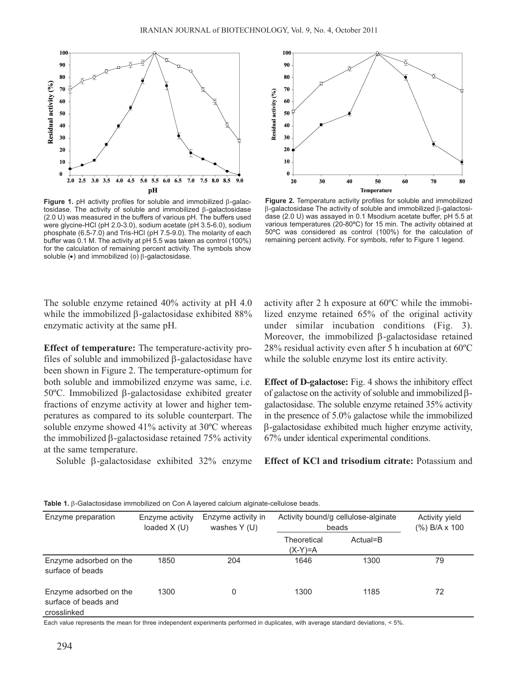

**Figure 1.** pH activity profiles for soluble and immobilized β-galactosidase. The activity of soluble and immobilized β-galactosidase (2.0 U) was measured in the buffers of various pH. The buffers used were glycine-HCl (pH 2.0-3.0), sodium acetate (pH 3.5-6.0), sodium phosphate (6.5-7.0) and Tris-HCl (pH 7.5-9.0). The molarity of each buffer was 0.1 M. The activity at pH 5.5 was taken as control (100%) for the calculation of remaining percent activity. The symbols show soluble (•) and immobilized (o) β-galactosidase.



**Figure 2.** Temperature activity profiles for soluble and immobilized β-galactosidase The activity of soluble and immobilized β-galactosidase (2.0 U) was assayed in 0.1 Msodium acetate buffer, pH 5.5 at various temperatures (20-80ºC) for 15 min. The activity obtained at 50ºC was considered as control (100%) for the calculation of remaining percent activity. For symbols, refer to Figure 1 legend.

The soluble enzyme retained 40% activity at pH 4.0 while the immobilized β-galactosidase exhibited 88% enzymatic activity at the same pH.

**Effect of temperature:** The temperature-activity profiles of soluble and immobilized β-galactosidase have been shown in Figure 2. The temperature-optimum for both soluble and immobilized enzyme was same, i.e. 50ºC. Immobilized β-galactosidase exhibited greater fractions of enzyme activity at lower and higher temperatures as compared to its soluble counterpart. The soluble enzyme showed 41% activity at 30ºC whereas the immobilized β-galactosidase retained 75% activity at the same temperature.

Soluble β-galactosidase exhibited 32% enzyme

activity after 2 h exposure at 60ºC while the immobilized enzyme retained 65% of the original activity under similar incubation conditions (Fig. 3). Moreover, the immobilized β-galactosidase retained 28% residual activity even after 5 h incubation at 60ºC while the soluble enzyme lost its entire activity.

**Effect of D-galactose:** Fig. 4 shows the inhibitory effect of galactose on the activity of soluble and immobilized βgalactosidase. The soluble enzyme retained 35% activity in the presence of 5.0% galactose while the immobilized β-galactosidase exhibited much higher enzyme activity, 67% under identical experimental conditions.

**Effect of KCl and trisodium citrate:** Potassium and

| Enzyme preparation                                            | Enzyme activity<br>loaded $X(U)$ | Enzyme activity in<br>washes $Y(U)$ | Activity bound/g cellulose-alginate<br>beads |          | Activity yield<br>$(\%)$ B/A x 100 |
|---------------------------------------------------------------|----------------------------------|-------------------------------------|----------------------------------------------|----------|------------------------------------|
|                                                               |                                  |                                     | Theoretical<br>$(X-Y)=A$                     | Actual=B |                                    |
| Enzyme adsorbed on the<br>surface of beads                    | 1850                             | 204                                 | 1646                                         | 1300     | 79                                 |
| Enzyme adsorbed on the<br>surface of beads and<br>crosslinked | 1300                             | 0                                   | 1300                                         | 1185     | 72                                 |

**Table 1.** β-Galactosidase immobilized on Con A layered calcium alginate-cellulose beads.

Each value represents the mean for three independent experiments performed in duplicates, with average standard deviations, < 5%.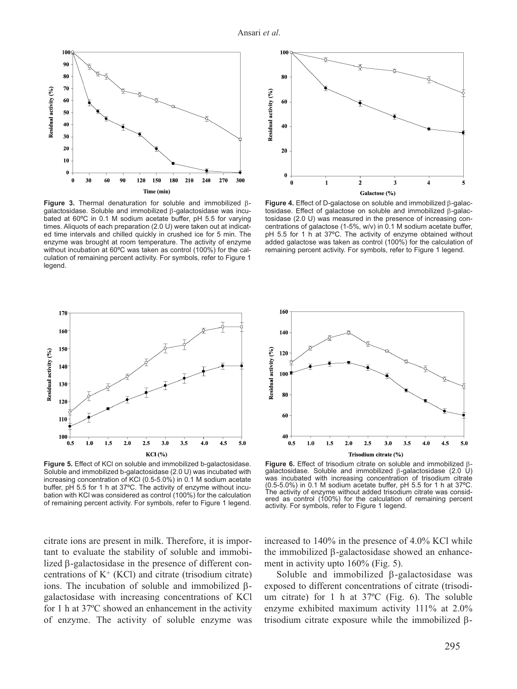

**Figure 3.** Thermal denaturation for soluble and immobilized βgalactosidase. Soluble and immobilized β-galactosidase was incubated at 60ºC in 0.1 M sodium acetate buffer, pH 5.5 for varying times. Aliquots of each preparation (2.0 U) were taken out at indicated time intervals and chilled quickly in crushed ice for 5 min. The enzyme was brought at room temperature. The activity of enzyme without incubation at 60ºC was taken as control (100%) for the calculation of remaining percent activity. For symbols, refer to Figure 1 legend.



**Figure 4.** Effect of D-galactose on soluble and immobilized β-galactosidase. Effect of galactose on soluble and immobilized β-galactosidase (2.0 U) was measured in the presence of increasing concentrations of galactose (1-5%, w/v) in 0.1 M sodium acetate buffer, pH 5.5 for 1 h at 37ºC. The activity of enzyme obtained without added galactose was taken as control (100%) for the calculation of remaining percent activity. For symbols, refer to Figure 1 legend.



**Figure 5.** Effect of KCl on soluble and immobilized b-galactosidase. Soluble and immobilized b-galactosidase (2.0 U) was incubated with increasing concentration of KCl (0.5-5.0%) in 0.1 M sodium acetate buffer, pH 5.5 for 1 h at 37°C. The activity of enzyme without incubation with KCl was considered as control (100%) for the calculation of remaining percent activity. For symbols, refer to Figure 1 legend.



**Figure 6.** Effect of trisodium citrate on soluble and immobilized βgalactosidase. Soluble and immobilized β-galactosidase (2.0 U) was incubated with increasing concentration of trisodium citrate (0.5-5.0%) in 0.1 M sodium acetate buffer, pH 5.5 for 1 h at 37ºC. The activity of enzyme without added trisodium citrate was considered as control (100%) for the calculation of remaining percent activity. For symbols, refer to Figure 1 legend.

citrate ions are present in milk. Therefore, it is important to evaluate the stability of soluble and immobilized β-galactosidase in the presence of different concentrations of  $K^+$  (KCl) and citrate (trisodium citrate) ions. The incubation of soluble and immobilized βgalactosidase with increasing concentrations of KCl for 1 h at 37ºC showed an enhancement in the activity of enzyme. The activity of soluble enzyme was increased to 140% in the presence of 4.0% KCl while the immobilized β-galactosidase showed an enhancement in activity upto 160% (Fig. 5).

Soluble and immobilized β-galactosidase was exposed to different concentrations of citrate (trisodium citrate) for 1 h at 37ºC (Fig. 6). The soluble enzyme exhibited maximum activity 111% at 2.0% trisodium citrate exposure while the immobilized β-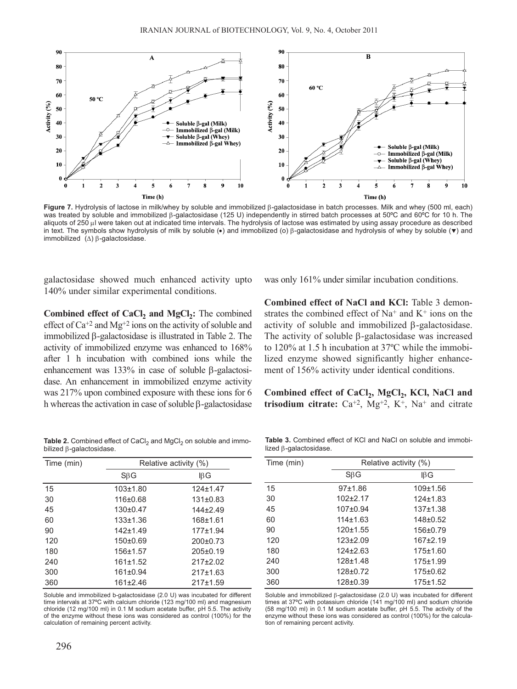

**Figure 7.** Hydrolysis of lactose in milk/whey by soluble and immobilized β-galactosidase in batch processes. Milk and whey (500 ml, each) was treated by soluble and immobilized β-galactosidase (125 U) independently in stirred batch processes at 50ºC and 60ºC for 10 h. The aliquots of 250 μl were taken out at indicated time intervals. The hydrolysis of lactose was estimated by using assay procedure as described in text. The symbols show hydrolysis of milk by soluble ( $\bullet$ ) and immobilized (o) β-galactosidase and hydrolysis of whey by soluble ( $\blacktriangledown$ ) and immobilized (Δ) β-galactosidase.

galactosidase showed much enhanced activity upto 140% under similar experimental conditions.

**Combined effect of CaCl<sub>2</sub> and MgCl<sub>2</sub>:** The combined effect of  $Ca^{+2}$  and  $Mg^{+2}$  ions on the activity of soluble and immobilized β-galactosidase is illustrated in Table 2. The activity of immobilized enzyme was enhanced to 168% after 1 h incubation with combined ions while the enhancement was 133% in case of soluble β-galactosidase. An enhancement in immobilized enzyme activity was 217% upon combined exposure with these ions for 6 h whereas the activation in case of soluble β-galactosidase was only 161% under similar incubation conditions.

**Combined effect of NaCl and KCl:** Table 3 demonstrates the combined effect of  $Na^+$  and  $K^+$  ions on the activity of soluble and immobilized β-galactosidase. The activity of soluble β-galactosidase was increased to 120% at 1.5 h incubation at 37ºC while the immobilized enzyme showed significantly higher enhancement of 156% activity under identical conditions.

Combined effect of CaCl<sub>2</sub>, MgCl<sub>2</sub>, KCl, NaCl and **trisodium citrate:**  $Ca^{+2}$ ,  $Mg^{+2}$ ,  $K^+$ ,  $Na^+$  and citrate

Table 2. Combined effect of CaCl<sub>2</sub> and MgCl<sub>2</sub> on soluble and immobilized β-galactosidase.

| Time (min) | Relative activity (%) |                |  |
|------------|-----------------------|----------------|--|
|            | $S\beta G$            | IBG            |  |
| 15         | $103 + 1.80$          | $124 \pm 1.47$ |  |
| 30         | 116±0.68              | $131 \pm 0.83$ |  |
| 45         | $130+0.47$            | $144 + 249$    |  |
| 60         | $133 + 1.36$          | $168 + 1.61$   |  |
| 90         | $142 + 1.49$          | $177 + 1.94$   |  |
| 120        | $150+0.69$            | $200+0.73$     |  |
| 180        | 156±1.57              | $205 \pm 0.19$ |  |
| 240        | 161±1.52              | $217+2.02$     |  |
| 300        | $161 \pm 0.94$        | 217±1.63       |  |
| 360        | 161±2.46              | 217±1.59       |  |

Soluble and immobilized b-galactosidase (2.0 U) was incubated for different time intervals at 37ºC with calcium chloride (123 mg/100 ml) and magnesium chloride (12 mg/100 ml) in 0.1 M sodium acetate buffer, pH 5.5. The activity of the enzyme without these ions was considered as control (100%) for the calculation of remaining percent activity.

**Table 3.** Combined effect of KCl and NaCl on soluble and immobilized β-galactosidase.

| Time (min) | Relative activity (%) |                |  |
|------------|-----------------------|----------------|--|
|            | $S\beta G$            | $\mathsf{IBG}$ |  |
| 15         | 97±1.86               | 109±1.56       |  |
| 30         | $102+2.17$            | $124 \pm 1.83$ |  |
| 45         | $107 + 0.94$          | $137 + 1.38$   |  |
| 60         | $114 + 1.63$          | $148 + 0.52$   |  |
| 90         | 120±1.55              | 156±0.79       |  |
| 120        | $123 \pm 2.09$        | $167+2.19$     |  |
| 180        | $124 \pm 2.63$        | 175±1.60       |  |
| 240        | $128 + 1.48$          | $175 + 1.99$   |  |
| 300        | 128±0.72              | $175 \pm 0.62$ |  |
| 360        | 128±0.39              | $175 + 1.52$   |  |

Soluble and immobilized β-galactosidase (2.0 U) was incubated for different times at 37ºC with potassium chloride (141 mg/100 ml) and sodium chloride (58 mg/100 ml) in 0.1 M sodium acetate buffer, pH 5.5. The activity of the enzyme without these ions was considered as control (100%) for the calculation of remaining percent activity.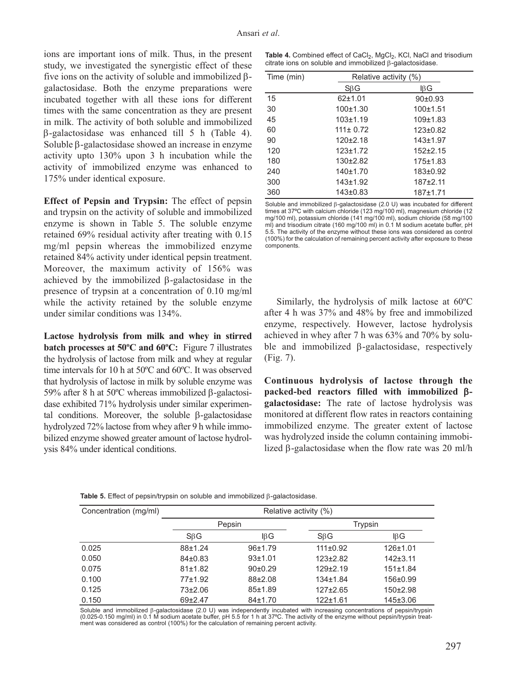ions are important ions of milk. Thus, in the present study, we investigated the synergistic effect of these five ions on the activity of soluble and immobilized βgalactosidase. Both the enzyme preparations were incubated together with all these ions for different times with the same concentration as they are present in milk. The activity of both soluble and immobilized β-galactosidase was enhanced till 5 h (Table 4). Soluble β-galactosidase showed an increase in enzyme activity upto 130% upon 3 h incubation while the activity of immobilized enzyme was enhanced to 175% under identical exposure.

**Effect of Pepsin and Trypsin:** The effect of pepsin and trypsin on the activity of soluble and immobilized enzyme is shown in Table 5. The soluble enzyme retained 69% residual activity after treating with 0.15 mg/ml pepsin whereas the immobilized enzyme retained 84% activity under identical pepsin treatment. Moreover, the maximum activity of 156% was achieved by the immobilized β-galactosidase in the presence of trypsin at a concentration of 0.10 mg/ml while the activity retained by the soluble enzyme under similar conditions was 134%.

**Lactose hydrolysis from milk and whey in stirred batch processes at 50ºC and 60ºC:** Figure 7 illustrates the hydrolysis of lactose from milk and whey at regular time intervals for 10 h at 50ºC and 60ºC. It was observed that hydrolysis of lactose in milk by soluble enzyme was 59% after 8 h at 50ºC whereas immobilized β-galactosidase exhibited 71% hydrolysis under similar experimental conditions. Moreover, the soluble β-galactosidase hydrolyzed 72% lactose from whey after 9 h while immobilized enzyme showed greater amount of lactose hydrolysis 84% under identical conditions.

Table 4. Combined effect of CaCl<sub>2</sub>, MgCl<sub>2</sub>, KCl, NaCl and trisodium citrate ions on soluble and immobilized β-galactosidase.

| Time (min) | Relative activity (%) |                |  |
|------------|-----------------------|----------------|--|
|            | $S\beta G$            | ΙßG            |  |
| 15         | $62+1.01$             | $90+0.93$      |  |
| 30         | 100±1.30              | 100±1.51       |  |
| 45         | $103 + 1.19$          | $109 + 1.83$   |  |
| 60         | $111 \pm 0.72$        | $123 \pm 0.82$ |  |
| 90         | $120 \pm 2.18$        | $143 + 1.97$   |  |
| 120        | $123 \pm 1.72$        | $152+2.15$     |  |
| 180        | $130+2.82$            | 175±1.83       |  |
| 240        | 140±1.70              | $183 + 0.92$   |  |
| 300        | $143 + 1.92$          | $187+2.11$     |  |
| 360        | 143±0.83              | $187 + 1.71$   |  |

Soluble and immobilized β-galactosidase (2.0 U) was incubated for different times at 37°C with calcium chloride (123 mg/100 ml), magnesium chloride (12 mg/100 ml), potassium chloride (141 mg/100 ml), sodium chloride (58 mg/100 ml) and trisodium citrate (160 mg/100 ml) in 0.1 M sodium acetate buffer, pH 5.5. The activity of the enzyme without these ions was considered as control (100%) for the calculation of remaining percent activity after exposure to these components.

Similarly, the hydrolysis of milk lactose at 60ºC after 4 h was 37% and 48% by free and immobilized enzyme, respectively. However, lactose hydrolysis achieved in whey after 7 h was 63% and 70% by soluble and immobilized β-galactosidase, respectively (Fig. 7).

**Continuous hydrolysis of lactose through the packed-bed reactors filled with immobilized** β**galactosidase:** The rate of lactose hydrolysis was monitored at different flow rates in reactors containing immobilized enzyme. The greater extent of lactose was hydrolyzed inside the column containing immobilized β-galactosidase when the flow rate was 20 ml/h

| Concentration (mg/ml) | Relative activity (%) |               |                |                |
|-----------------------|-----------------------|---------------|----------------|----------------|
|                       | Pepsin                |               |                | Trypsin        |
|                       | $S\beta G$            | IBG           | $S\beta G$     | IβG            |
| 0.025                 | $88 + 1.24$           | 96±1.79       | $111 \pm 0.92$ | 126±1.01       |
| 0.050                 | $84 + 0.83$           | 93±1.01       | $123 \pm 2.82$ | $142 + 3.11$   |
| 0.075                 | 81±1.82               | $90+0.29$     | $129 \pm 2.19$ | 151±1.84       |
| 0.100                 | 77±1.92               | $88 + 2.08$   | $134 + 1.84$   | $156 \pm 0.99$ |
| 0.125                 | $73+2.06$             | 85±1.89       | $127 \pm 2.65$ | $150+2.98$     |
| 0.150                 | $69+2.47$             | $84 \pm 1.70$ | $122 + 1.61$   | 145±3.06       |

**Table 5.** Effect of pepsin/trypsin on soluble and immobilized β-galactosidase.

Soluble and immobilized β-galactosidase (2.0 U) was independently incubated with increasing concentrations of pepsin/trypsin (0.025-0.150 mg/ml) in 0.1 M sodium acetate buffer, pH 5.5 for 1 h at 37ºC. The activity of the enzyme without pepsin/trypsin treatment was considered as control (100%) for the calculation of remaining percent activity.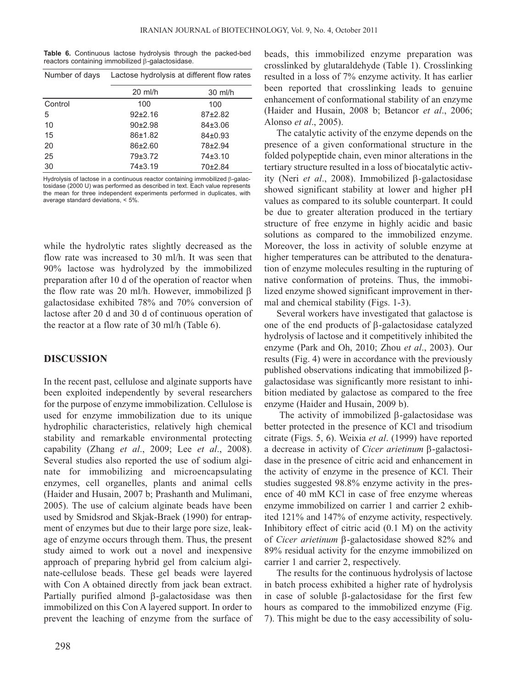**Table 6.** Continuous lactose hydrolysis through the packed-bed reactors containing immobilized β-galactosidase.

| Number of days | Lactose hydrolysis at different flow rates |           |  |
|----------------|--------------------------------------------|-----------|--|
|                | $20$ ml/h                                  | $30$ ml/h |  |
| Control        | 100                                        | 100       |  |
| 5              | $92+2.16$                                  | $87+2.82$ |  |
| 10             | $90+2.98$                                  | $84+3.06$ |  |
| 15             | 86±1.82                                    | 84±0.93   |  |
| 20             | $86+2.60$                                  | 78±2.94   |  |
| 25             | 79±3.72                                    | $74+3.10$ |  |
| 30             | $74 + 3.19$                                | 70±2.84   |  |

Hydrolysis of lactose in a continuous reactor containing immobilized β-galactosidase (2000 U) was performed as described in text. Each value represents the mean for three independent experiments performed in duplicates, with average standard deviations, < 5%.

while the hydrolytic rates slightly decreased as the flow rate was increased to 30 ml/h. It was seen that 90% lactose was hydrolyzed by the immobilized preparation after 10 d of the operation of reactor when the flow rate was 20 ml/h. However, immobilized β galactosidase exhibited 78% and 70% conversion of lactose after 20 d and 30 d of continuous operation of the reactor at a flow rate of 30 ml/h (Table 6).

#### **DISCUSSION**

In the recent past, cellulose and alginate supports have been exploited independently by several researchers for the purpose of enzyme immobilization. Cellulose is used for enzyme immobilization due to its unique hydrophilic characteristics, relatively high chemical stability and remarkable environmental protecting capability (Zhang *et al*., 2009; Lee *et al*., 2008). Several studies also reported the use of sodium alginate for immobilizing and microencapsulating enzymes, cell organelles, plants and animal cells (Haider and Husain, 2007 b; Prashanth and Mulimani, 2005). The use of calcium alginate beads have been used by Smidsrod and Skjak-Braek (1990) for entrapment of enzymes but due to their large pore size, leakage of enzyme occurs through them. Thus, the present study aimed to work out a novel and inexpensive approach of preparing hybrid gel from calcium alginate-cellulose beads. These gel beads were layered with Con A obtained directly from jack bean extract. Partially purified almond β-galactosidase was then immobilized on this Con A layered support. In order to prevent the leaching of enzyme from the surface of beads, this immobilized enzyme preparation was crosslinked by glutaraldehyde (Table 1). Crosslinking resulted in a loss of 7% enzyme activity. It has earlier been reported that crosslinking leads to genuine enhancement of conformational stability of an enzyme (Haider and Husain, 2008 b; Betancor *et al*., 2006; Alonso *et al*., 2005).

The catalytic activity of the enzyme depends on the presence of a given conformational structure in the folded polypeptide chain, even minor alterations in the tertiary structure resulted in a loss of biocatalytic activity (Neri *et al*., 2008). Immobilized β-galactosidase showed significant stability at lower and higher pH values as compared to its soluble counterpart. It could be due to greater alteration produced in the tertiary structure of free enzyme in highly acidic and basic solutions as compared to the immobilized enzyme. Moreover, the loss in activity of soluble enzyme at higher temperatures can be attributed to the denaturation of enzyme molecules resulting in the rupturing of native conformation of proteins. Thus, the immobilized enzyme showed significant improvement in thermal and chemical stability (Figs. 1-3).

Several workers have investigated that galactose is one of the end products of β-galactosidase catalyzed hydrolysis of lactose and it competitively inhibited the enzyme (Park and Oh, 2010; Zhou *et al*., 2003). Our results (Fig. 4) were in accordance with the previously published observations indicating that immobilized βgalactosidase was significantly more resistant to inhibition mediated by galactose as compared to the free enzyme (Haider and Husain, 2009 b).

The activity of immobilized β-galactosidase was better protected in the presence of KCl and trisodium citrate (Figs. 5, 6). Weixia *et al*. (1999) have reported a decrease in activity of *Cicer arietinum* β-galactosidase in the presence of citric acid and enhancement in the activity of enzyme in the presence of KCl. Their studies suggested 98.8% enzyme activity in the presence of 40 mM KCl in case of free enzyme whereas enzyme immobilized on carrier 1 and carrier 2 exhibited 121% and 147% of enzyme activity, respectively. Inhibitory effect of citric acid (0.1 M) on the activity of *Cicer arietinum* β-galactosidase showed 82% and 89% residual activity for the enzyme immobilized on carrier 1 and carrier 2, respectively.

The results for the continuous hydrolysis of lactose in batch process exhibited a higher rate of hydrolysis in case of soluble β-galactosidase for the first few hours as compared to the immobilized enzyme (Fig. 7). This might be due to the easy accessibility of solu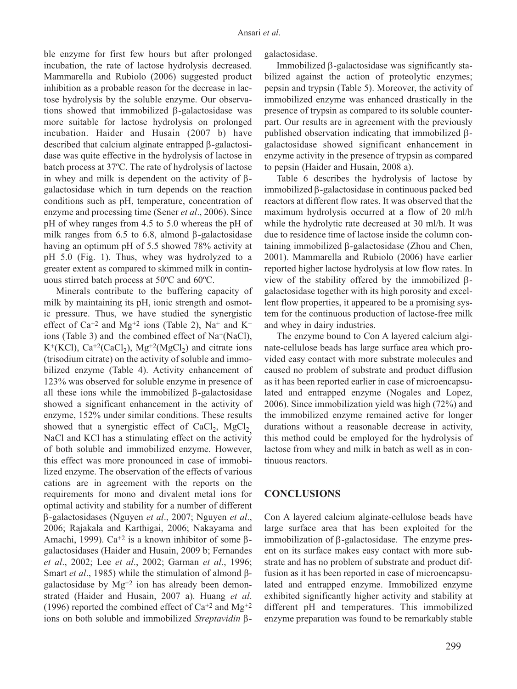ble enzyme for first few hours but after prolonged incubation, the rate of lactose hydrolysis decreased. Mammarella and Rubiolo (2006) suggested product inhibition as a probable reason for the decrease in lactose hydrolysis by the soluble enzyme. Our observations showed that immobilized β-galactosidase was more suitable for lactose hydrolysis on prolonged incubation. Haider and Husain (2007 b) have described that calcium alginate entrapped β-galactosidase was quite effective in the hydrolysis of lactose in batch process at 37ºC. The rate of hydrolysis of lactose in whey and milk is dependent on the activity of βgalactosidase which in turn depends on the reaction conditions such as pH, temperature, concentration of enzyme and processing time (Sener *et al*., 2006). Since pH of whey ranges from 4.5 to 5.0 whereas the pH of milk ranges from 6.5 to 6.8, almond β-galactosidase having an optimum pH of 5.5 showed 78% activity at pH 5.0 (Fig. 1). Thus, whey was hydrolyzed to a greater extent as compared to skimmed milk in continuous stirred batch process at 50ºC and 60ºC.

Minerals contribute to the buffering capacity of milk by maintaining its pH, ionic strength and osmotic pressure. Thus, we have studied the synergistic effect of  $Ca^{+2}$  and  $Mg^{+2}$  ions (Table 2), Na<sup>+</sup> and K<sup>+</sup> ions (Table 3) and the combined effect of Na+(NaCl),  $K^+(KC)$ ,  $Ca^{+2}(CaCl_2)$ ,  $Mg^{+2}(MgCl_2)$  and citrate ions (trisodium citrate) on the activity of soluble and immobilized enzyme (Table 4). Activity enhancement of 123% was observed for soluble enzyme in presence of all these ions while the immobilized β-galactosidase showed a significant enhancement in the activity of enzyme, 152% under similar conditions. These results showed that a synergistic effect of  $CaCl<sub>2</sub>$ , MgCl<sub>2</sub>, NaCl and KCl has a stimulating effect on the activity of both soluble and immobilized enzyme. However, this effect was more pronounced in case of immobilized enzyme. The observation of the effects of various cations are in agreement with the reports on the requirements for mono and divalent metal ions for optimal activity and stability for a number of different β-galactosidases (Nguyen *et al*., 2007; Nguyen *et al*., 2006; Rajakala and Karthigai, 2006; Nakayama and Amachi, 1999). Ca<sup>+2</sup> is a known inhibitor of some βgalactosidases (Haider and Husain, 2009 b; Fernandes *et al*., 2002; Lee *et al*., 2002; Garman *et al*., 1996; Smart *et al*., 1985) while the stimulation of almond βgalactosidase by  $Mg^{+2}$  ion has already been demonstrated (Haider and Husain, 2007 a). Huang *et al*. (1996) reported the combined effect of  $Ca^{+2}$  and  $Mg^{+2}$ ions on both soluble and immobilized *Streptavidin* βgalactosidase.

Immobilized β-galactosidase was significantly stabilized against the action of proteolytic enzymes; pepsin and trypsin (Table 5). Moreover, the activity of immobilized enzyme was enhanced drastically in the presence of trypsin as compared to its soluble counterpart. Our results are in agreement with the previously published observation indicating that immobilized βgalactosidase showed significant enhancement in enzyme activity in the presence of trypsin as compared to pepsin (Haider and Husain, 2008 a).

Table 6 describes the hydrolysis of lactose by immobilized β-galactosidase in continuous packed bed reactors at different flow rates. It was observed that the maximum hydrolysis occurred at a flow of 20 ml/h while the hydrolytic rate decreased at 30 ml/h. It was due to residence time of lactose inside the column containing immobilized β-galactosidase (Zhou and Chen, 2001). Mammarella and Rubiolo (2006) have earlier reported higher lactose hydrolysis at low flow rates. In view of the stability offered by the immobilized βgalactosidase together with its high porosity and excellent flow properties, it appeared to be a promising system for the continuous production of lactose-free milk and whey in dairy industries.

The enzyme bound to Con A layered calcium alginate-cellulose beads has large surface area which provided easy contact with more substrate molecules and caused no problem of substrate and product diffusion as it has been reported earlier in case of microencapsulated and entrapped enzyme (Nogales and Lopez, 2006). Since immobilization yield was high (72%) and the immobilized enzyme remained active for longer durations without a reasonable decrease in activity, this method could be employed for the hydrolysis of lactose from whey and milk in batch as well as in continuous reactors.

## **CONCLUSIONS**

Con A layered calcium alginate-cellulose beads have large surface area that has been exploited for the immobilization of β-galactosidase. The enzyme present on its surface makes easy contact with more substrate and has no problem of substrate and product diffusion as it has been reported in case of microencapsulated and entrapped enzyme. Immobilized enzyme exhibited significantly higher activity and stability at different pH and temperatures. This immobilized enzyme preparation was found to be remarkably stable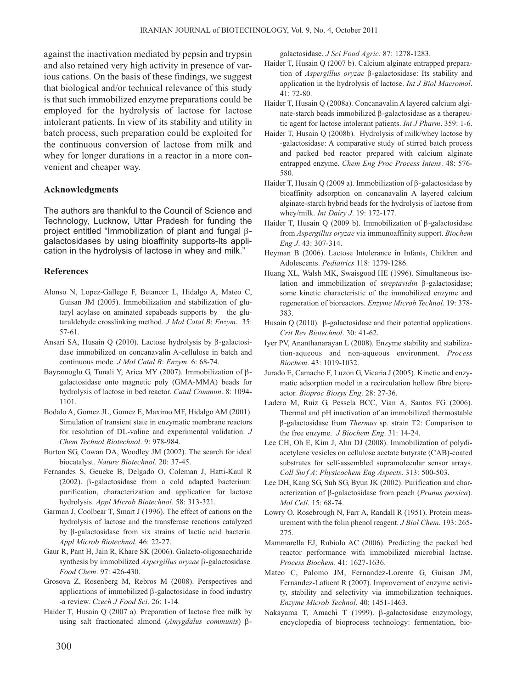against the inactivation mediated by pepsin and trypsin and also retained very high activity in presence of various cations. On the basis of these findings, we suggest that biological and/or technical relevance of this study is that such immobilized enzyme preparations could be employed for the hydrolysis of lactose for lactose intolerant patients. In view of its stability and utility in batch process, such preparation could be exploited for the continuous conversion of lactose from milk and whey for longer durations in a reactor in a more convenient and cheaper way.

## **Acknowledgments**

The authors are thankful to the Council of Science and Technology, Lucknow, Uttar Pradesh for funding the project entitled "Immobilization of plant and fungal βgalactosidases by using bioaffinity supports-Its application in the hydrolysis of lactose in whey and milk."

## **References**

- Alonso N, Lopez-Gallego F, Betancor L, Hidalgo A, Mateo C, Guisan JM (2005). Immobilization and stabilization of glutaryl acylase on aminated sepabeads supports by the glutaraldehyde crosslinking method. *J Mol Catal B*: *Enzym*. 35: 57-61.
- Ansari SA, Husain Q (2010). Lactose hydrolysis by β-galactosidase immobilized on concanavalin A-cellulose in batch and continuous mode. *J Mol Catal B*: *Enzym*. 6: 68-74.
- Bayramoglu G, Tunali Y, Arica MY (2007). Immobilization of βgalactosidase onto magnetic poly (GMA-MMA) beads for hydrolysis of lactose in bed reactor. *Catal Commun*. 8: 1094- 1101.
- Bodalo A, Gomez JL, Gomez E, Maximo MF, Hidalgo AM (2001). Simulation of transient state in enzymatic membrane reactors for resolution of DL-valine and experimental validation. *J Chem Technol Biotechnol*. 9: 978-984.
- Burton SG, Cowan DA, Woodley JM (2002). The search for ideal biocatalyst. *Nature Biotechnol*. 20: 37-45.
- Fernandes S, Geueke B, Delgado O, Coleman J, Hatti-Kaul R (2002). β-galactosidase from a cold adapted bacterium: purification, characterization and application for lactose hydrolysis. *Appl Microb Biotechnol*. 58: 313-321.
- Garman J, Coolbear T, Smart J (1996). The effect of cations on the hydrolysis of lactose and the transferase reactions catalyzed by β-galactosidase from six strains of lactic acid bacteria. *Appl Microb Biotechnol*. 46: 22-27.
- Gaur R, Pant H, Jain R, Khare SK (2006). Galacto-oligosaccharide synthesis by immobilized *Aspergillus oryzae* β-galactosidase. *Food Chem*. 97: 426-430.
- Grosova Z, Rosenberg M, Rebros M (2008). Perspectives and applications of immobilized β-galactosidase in food industry -a review. *Czech J Food Sci*. 26: 1-14.
- Haider T, Husain Q (2007 a). Preparation of lactose free milk by using salt fractionated almond (*Amygdalus communis*) β-

galactosidase. *J Sci Food Agric*. 87: 1278-1283.

- Haider T, Husain Q (2007 b). Calcium alginate entrapped preparation of *Aspergillus oryzae* β-galactosidase: Its stability and application in the hydrolysis of lactose. *Int J Biol Macromol*. 41: 72-80.
- Haider T, Husain Q (2008a). Concanavalin A layered calcium alginate-starch beads immobilized β-galactosidase as a therapeutic agent for lactose intolerant patients. *Int J Pharm*. 359: 1-6.
- Haider T, Husain Q (2008b). Hydrolysis of milk/whey lactose by -galactosidase: A comparative study of stirred batch process and packed bed reactor prepared with calcium alginate entrapped enzyme. *Chem Eng Proc Process Intens*. 48: 576- 580.
- Haider T, Husain Q (2009 a). Immobilization of β-galactosidase by bioaffinity adsorption on concanavalin A layered calcium alginate-starch hybrid beads for the hydrolysis of lactose from whey/milk. *Int Dairy J*. 19: 172-177.
- Haider T, Husain Q (2009 b). Immobilization of β-galactosidase from *Aspergillus oryzae* via immunoaffinity support. *Biochem Eng J*. 43: 307-314.
- Heyman B (2006). Lactose Intolerance in Infants, Children and Adolescents. *Pediatrics* 118: 1279-1286.
- Huang XL, Walsh MK, Swaisgood HE (1996). Simultaneous isolation and immobilization of s*treptavidin* β-galactosidase; some kinetic characteristic of the immobilized enzyme and regeneration of bioreactors. *Enzyme Microb Technol*. 19: 378- 383.
- Husain Q (2010). β-galactosidase and their potential applications. *Crit Rev Biotechnol*. 30: 41-62.
- Iyer PV, Ananthanarayan L (2008). Enzyme stability and stabilization-aqueous and non-aqueous environment. *Process Biochem*. 43: 1019-1032.
- Jurado E, Camacho F, Luzon G, Vicaria J (2005). Kinetic and enzymatic adsorption model in a recirculation hollow fibre bioreactor. *Bioproc Biosys Eng*. 28: 27-36.
- Ladero M, Ruiz G, Pessela BCC, Vian A, Santos FG (2006). Thermal and pH inactivation of an immobilized thermostable β-galactosidase from *Thermus* sp. strain T2: Comparison to the free enzyme. *J Biochem Eng*. 31: 14-24.
- Lee CH, Oh E, Kim J, Ahn DJ (2008). Immobilization of polydiacetylene vesicles on cellulose acetate butyrate (CAB)-coated substrates for self-assembled supramolecular sensor arrays. *Coll Surf A*: *Physicochem Eng Aspects*. 313: 500-503.
- Lee DH, Kang SG, Suh SG, Byun JK (2002). Purification and characterization of β-galactosidase from peach (*Prunus persica*). *Mol Cell*. 15: 68-74.
- Lowry O, Rosebrough N, Farr A, Randall R (1951). Protein measurement with the folin phenol reagent. *J Biol Chem*. 193: 265- 275.
- Mammarella EJ, Rubiolo AC (2006). Predicting the packed bed reactor performance with immobilized microbial lactase. *Process Biochem*. 41: 1627-1636.
- Mateo C, Palomo JM, Fernandez-Lorente G, Guisan JM, Fernandez-Lafuent R (2007). Improvement of enzyme activity, stability and selectivity via immobilization techniques. *Enzyme Microb Technol*. 40: 1451-1463.
- Nakayama T, Amachi T (1999). β-galactosidase enzymology, encyclopedia of bioprocess technology: fermentation, bio-